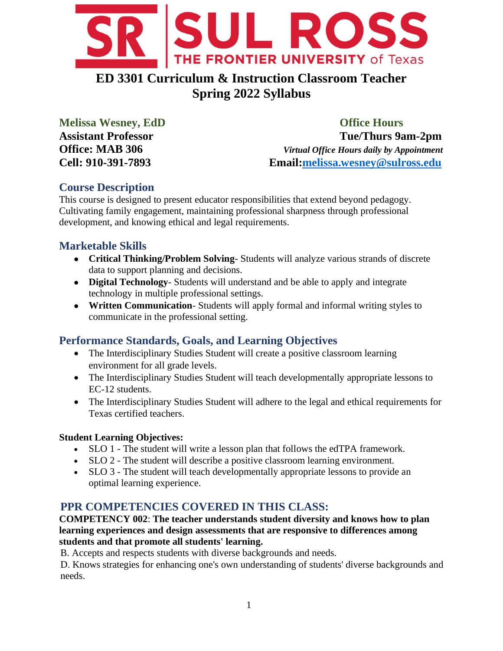

# **ED 3301 Curriculum & Instruction Classroom Teacher Spring 2022 Syllabus**

**Melissa Wesney, EdD Office Hours Assistant Professor Tue/Thurs 9am-2pm Office: MAB 306** *Virtual Office Hours daily by Appointment* **Cell: 910-391-7893 Email[:melissa.wesney@sulross.edu](mailto:melissa.wesney@sulross.edu)**

## **Course Description**

This course is designed to present educator responsibilities that extend beyond pedagogy. Cultivating family engagement, maintaining professional sharpness through professional development, and knowing ethical and legal requirements.

## **Marketable Skills**

- **Critical Thinking/Problem Solving** Students will analyze various strands of discrete data to support planning and decisions.
- **Digital Technology** Students will understand and be able to apply and integrate technology in multiple professional settings.
- **Written Communication** Students will apply formal and informal writing styles to communicate in the professional setting.

## **Performance Standards, Goals, and Learning Objectives**

- The Interdisciplinary Studies Student will create a positive classroom learning environment for all grade levels.
- The Interdisciplinary Studies Student will teach developmentally appropriate lessons to EC-12 students.
- The Interdisciplinary Studies Student will adhere to the legal and ethical requirements for Texas certified teachers.

### **Student Learning Objectives:**

- SLO 1 The student will write a lesson plan that follows the edTPA framework.
- SLO 2 The student will describe a positive classroom learning environment.
- SLO 3 The student will teach developmentally appropriate lessons to provide an optimal learning experience.

## **PPR COMPETENCIES COVERED IN THIS CLASS:**

**COMPETENCY 002**: **The teacher understands student diversity and knows how to plan learning experiences and design assessments that are responsive to differences among students and that promote all students' learning.**

B. Accepts and respects students with diverse backgrounds and needs.

D. Knows strategies for enhancing one's own understanding of students' diverse backgrounds and needs.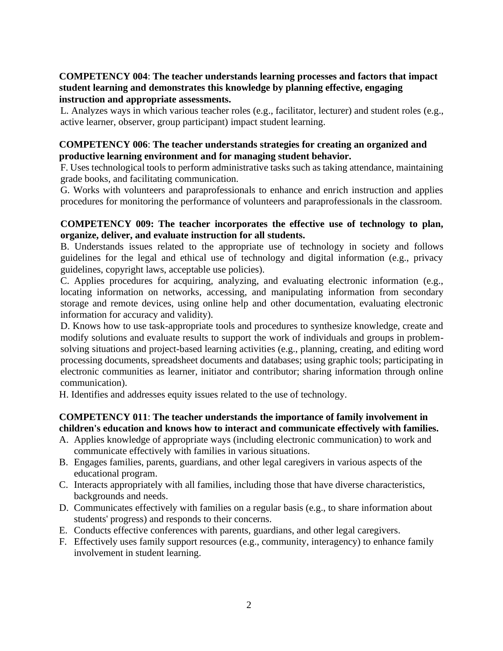#### **COMPETENCY 004**: **The teacher understands learning processes and factors that impact student learning and demonstrates this knowledge by planning effective, engaging instruction and appropriate assessments.**

L. Analyzes ways in which various teacher roles (e.g., facilitator, lecturer) and student roles (e.g., active learner, observer, group participant) impact student learning.

#### **COMPETENCY 006**: **The teacher understands strategies for creating an organized and productive learning environment and for managing student behavior.**

F. Uses technological tools to perform administrative tasks such as taking attendance, maintaining grade books, and facilitating communication.

G. Works with volunteers and paraprofessionals to enhance and enrich instruction and applies procedures for monitoring the performance of volunteers and paraprofessionals in the classroom.

#### **COMPETENCY 009: The teacher incorporates the effective use of technology to plan, organize, deliver, and evaluate instruction for all students.**

B. Understands issues related to the appropriate use of technology in society and follows guidelines for the legal and ethical use of technology and digital information (e.g., privacy guidelines, copyright laws, acceptable use policies).

C. Applies procedures for acquiring, analyzing, and evaluating electronic information (e.g., locating information on networks, accessing, and manipulating information from secondary storage and remote devices, using online help and other documentation, evaluating electronic information for accuracy and validity).

D. Knows how to use task-appropriate tools and procedures to synthesize knowledge, create and modify solutions and evaluate results to support the work of individuals and groups in problemsolving situations and project-based learning activities (e.g., planning, creating, and editing word processing documents, spreadsheet documents and databases; using graphic tools; participating in electronic communities as learner, initiator and contributor; sharing information through online communication).

H. Identifies and addresses equity issues related to the use of technology.

#### **COMPETENCY 011**: **The teacher understands the importance of family involvement in children's education and knows how to interact and communicate effectively with families.**

- A. Applies knowledge of appropriate ways (including electronic communication) to work and communicate effectively with families in various situations.
- B. Engages families, parents, guardians, and other legal caregivers in various aspects of the educational program.
- C. Interacts appropriately with all families, including those that have diverse characteristics, backgrounds and needs.
- D. Communicates effectively with families on a regular basis (e.g., to share information about students' progress) and responds to their concerns.
- E. Conducts effective conferences with parents, guardians, and other legal caregivers.
- F. Effectively uses family support resources (e.g., community, interagency) to enhance family involvement in student learning.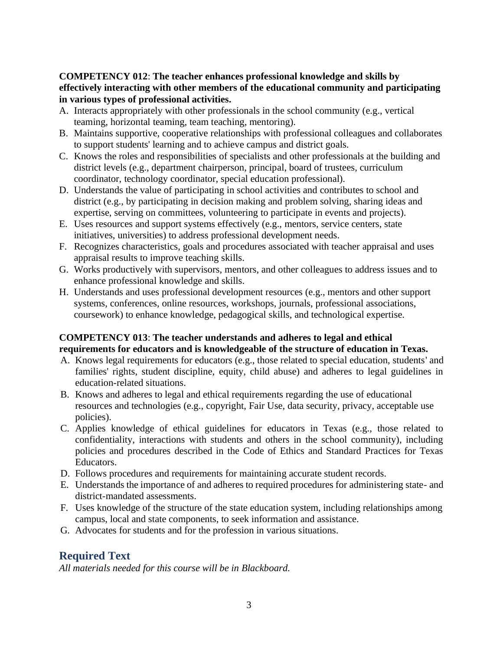#### **COMPETENCY 012**: **The teacher enhances professional knowledge and skills by effectively interacting with other members of the educational community and participating in various types of professional activities.**

- A. Interacts appropriately with other professionals in the school community (e.g., vertical teaming, horizontal teaming, team teaching, mentoring).
- B. Maintains supportive, cooperative relationships with professional colleagues and collaborates to support students' learning and to achieve campus and district goals.
- C. Knows the roles and responsibilities of specialists and other professionals at the building and district levels (e.g., department chairperson, principal, board of trustees, curriculum coordinator, technology coordinator, special education professional).
- D. Understands the value of participating in school activities and contributes to school and district (e.g., by participating in decision making and problem solving, sharing ideas and expertise, serving on committees, volunteering to participate in events and projects).
- E. Uses resources and support systems effectively (e.g., mentors, service centers, state initiatives, universities) to address professional development needs.
- F. Recognizes characteristics, goals and procedures associated with teacher appraisal and uses appraisal results to improve teaching skills.
- G. Works productively with supervisors, mentors, and other colleagues to address issues and to enhance professional knowledge and skills.
- H. Understands and uses professional development resources (e.g., mentors and other support systems, conferences, online resources, workshops, journals, professional associations, coursework) to enhance knowledge, pedagogical skills, and technological expertise.

#### **COMPETENCY 013**: **The teacher understands and adheres to legal and ethical requirements for educators and is knowledgeable of the structure of education in Texas.**

- A. Knows legal requirements for educators (e.g., those related to special education, students' and families' rights, student discipline, equity, child abuse) and adheres to legal guidelines in education-related situations.
- B. Knows and adheres to legal and ethical requirements regarding the use of educational resources and technologies (e.g., copyright, Fair Use, data security, privacy, acceptable use policies).
- C. Applies knowledge of ethical guidelines for educators in Texas (e.g., those related to confidentiality, interactions with students and others in the school community), including policies and procedures described in the Code of Ethics and Standard Practices for Texas Educators.
- D. Follows procedures and requirements for maintaining accurate student records.
- E. Understands the importance of and adheres to required procedures for administering state- and district-mandated assessments.
- F. Uses knowledge of the structure of the state education system, including relationships among campus, local and state components, to seek information and assistance.
- G. Advocates for students and for the profession in various situations.

## **Required Text**

*All materials needed for this course will be in Blackboard.*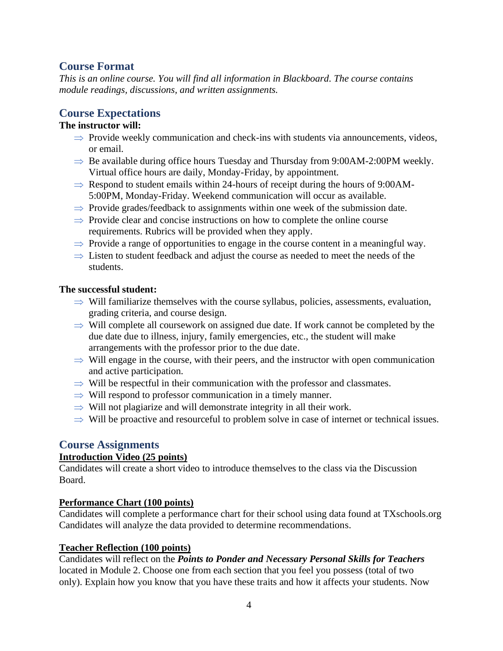### **Course Format**

*This is an online course. You will find all information in Blackboard. The course contains module readings, discussions, and written assignments.* 

## **Course Expectations**

#### **The instructor will:**

- $\Rightarrow$  Provide weekly communication and check-ins with students via announcements, videos, or email.
- $\Rightarrow$  Be available during office hours Tuesday and Thursday from 9:00AM-2:00PM weekly. Virtual office hours are daily, Monday-Friday, by appointment.
- $\Rightarrow$  Respond to student emails within 24-hours of receipt during the hours of 9:00AM-5:00PM, Monday-Friday. Weekend communication will occur as available.
- $\Rightarrow$  Provide grades/feedback to assignments within one week of the submission date.
- $\Rightarrow$  Provide clear and concise instructions on how to complete the online course requirements. Rubrics will be provided when they apply.
- $\Rightarrow$  Provide a range of opportunities to engage in the course content in a meaningful way.
- $\Rightarrow$  Listen to student feedback and adjust the course as needed to meet the needs of the students.

#### **The successful student:**

- $\Rightarrow$  Will familiarize themselves with the course syllabus, policies, assessments, evaluation, grading criteria, and course design.
- $\Rightarrow$  Will complete all coursework on assigned due date. If work cannot be completed by the due date due to illness, injury, family emergencies, etc., the student will make arrangements with the professor prior to the due date.
- $\Rightarrow$  Will engage in the course, with their peers, and the instructor with open communication and active participation.
- $\Rightarrow$  Will be respectful in their communication with the professor and classmates.
- $\Rightarrow$  Will respond to professor communication in a timely manner.
- $\Rightarrow$  Will not plagiarize and will demonstrate integrity in all their work.
- $\Rightarrow$  Will be proactive and resourceful to problem solve in case of internet or technical issues.

### **Course Assignments**

#### **Introduction Video (25 points)**

Candidates will create a short video to introduce themselves to the class via the Discussion Board.

#### **Performance Chart (100 points)**

Candidates will complete a performance chart for their school using data found at TXschools.org Candidates will analyze the data provided to determine recommendations.

#### **Teacher Reflection (100 points)**

Candidates will reflect on the *Points to Ponder and Necessary Personal Skills for Teachers* located in Module 2. Choose one from each section that you feel you possess (total of two only). Explain how you know that you have these traits and how it affects your students. Now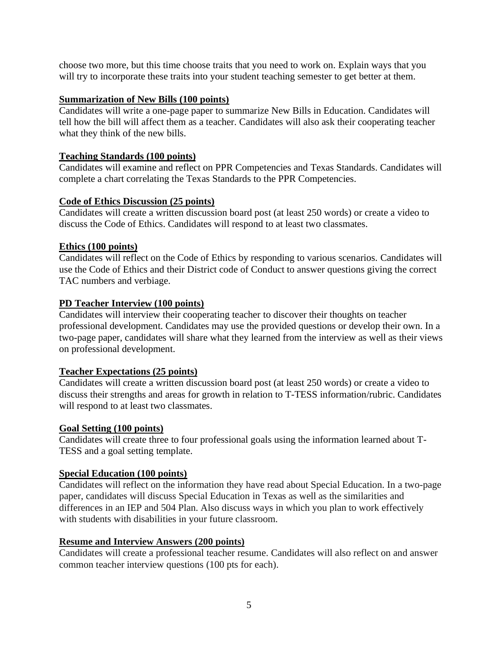choose two more, but this time choose traits that you need to work on. Explain ways that you will try to incorporate these traits into your student teaching semester to get better at them.

#### **Summarization of New Bills (100 points)**

Candidates will write a one-page paper to summarize New Bills in Education. Candidates will tell how the bill will affect them as a teacher. Candidates will also ask their cooperating teacher what they think of the new bills.

#### **Teaching Standards (100 points)**

Candidates will examine and reflect on PPR Competencies and Texas Standards. Candidates will complete a chart correlating the Texas Standards to the PPR Competencies.

#### **Code of Ethics Discussion (25 points)**

Candidates will create a written discussion board post (at least 250 words) or create a video to discuss the Code of Ethics. Candidates will respond to at least two classmates.

#### **Ethics (100 points)**

Candidates will reflect on the Code of Ethics by responding to various scenarios. Candidates will use the Code of Ethics and their District code of Conduct to answer questions giving the correct TAC numbers and verbiage.

#### **PD Teacher Interview (100 points)**

Candidates will interview their cooperating teacher to discover their thoughts on teacher professional development. Candidates may use the provided questions or develop their own. In a two-page paper, candidates will share what they learned from the interview as well as their views on professional development.

#### **Teacher Expectations (25 points)**

Candidates will create a written discussion board post (at least 250 words) or create a video to discuss their strengths and areas for growth in relation to T-TESS information/rubric. Candidates will respond to at least two classmates.

#### **Goal Setting (100 points)**

Candidates will create three to four professional goals using the information learned about T-TESS and a goal setting template.

#### **Special Education (100 points)**

Candidates will reflect on the information they have read about Special Education. In a two-page paper, candidates will discuss Special Education in Texas as well as the similarities and differences in an IEP and 504 Plan. Also discuss ways in which you plan to work effectively with students with disabilities in your future classroom.

#### **Resume and Interview Answers (200 points)**

Candidates will create a professional teacher resume. Candidates will also reflect on and answer common teacher interview questions (100 pts for each).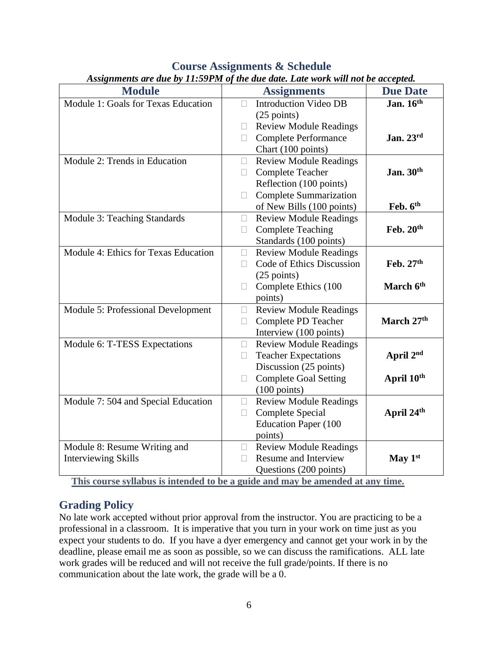| <b>Module</b>                                                                 | $\mu$ issignments ure une by 11.991 m of the une une. Eate work with hol be uccepted.<br><b>Assignments</b> | <b>Due Date</b> |
|-------------------------------------------------------------------------------|-------------------------------------------------------------------------------------------------------------|-----------------|
| Module 1: Goals for Texas Education                                           | <b>Introduction Video DB</b><br>$\bullet$                                                                   | Jan. $16th$     |
|                                                                               | $(25$ points)                                                                                               |                 |
|                                                                               | <b>Review Module Readings</b><br>$\bullet$                                                                  |                 |
|                                                                               | <b>Complete Performance</b>                                                                                 | Jan. 23rd       |
|                                                                               | Chart (100 points)                                                                                          |                 |
| Module 2: Trends in Education                                                 | <b>Review Module Readings</b><br>$\bullet$                                                                  |                 |
|                                                                               | <b>Complete Teacher</b>                                                                                     | Jan. 30th       |
|                                                                               | Reflection (100 points)                                                                                     |                 |
|                                                                               | <b>Complete Summarization</b><br>$\bullet$                                                                  |                 |
|                                                                               | of New Bills (100 points)                                                                                   | Feb. 6th        |
| Module 3: Teaching Standards                                                  | <b>Review Module Readings</b><br>$\bullet$                                                                  |                 |
|                                                                               | <b>Complete Teaching</b><br>$\bullet$                                                                       | Feb. $20th$     |
|                                                                               | Standards (100 points)                                                                                      |                 |
| Module 4: Ethics for Texas Education                                          | <b>Review Module Readings</b><br>$\bullet$                                                                  |                 |
|                                                                               | Code of Ethics Discussion                                                                                   | Feb. 27th       |
|                                                                               | $(25$ points)                                                                                               |                 |
|                                                                               | Complete Ethics (100<br>$\bullet$                                                                           | March 6th       |
|                                                                               | points)                                                                                                     |                 |
| Module 5: Professional Development                                            | <b>Review Module Readings</b><br>$\bullet$                                                                  |                 |
|                                                                               | Complete PD Teacher<br>$\bullet$                                                                            | March 27th      |
|                                                                               | Interview (100 points)                                                                                      |                 |
| Module 6: T-TESS Expectations                                                 | <b>Review Module Readings</b><br>$\bullet$                                                                  |                 |
|                                                                               | <b>Teacher Expectations</b><br>$\bullet$                                                                    | April 2nd       |
|                                                                               | Discussion (25 points)                                                                                      |                 |
|                                                                               | <b>Complete Goal Setting</b><br>$\bullet$                                                                   | April 10th      |
|                                                                               | $(100 \text{ points})$                                                                                      |                 |
| Module 7: 504 and Special Education                                           | <b>Review Module Readings</b><br>$\bullet$                                                                  |                 |
|                                                                               | <b>Complete Special</b><br>$\bullet$                                                                        | April 24th      |
|                                                                               | Education Paper (100                                                                                        |                 |
|                                                                               | points)                                                                                                     |                 |
| Module 8: Resume Writing and                                                  | <b>Review Module Readings</b><br>$\bullet$                                                                  |                 |
| <b>Interviewing Skills</b>                                                    | <b>Resume and Interview</b>                                                                                 | May $1st$       |
| This course syllabus is intended to be a quide and may be amended at any time | Questions (200 points)                                                                                      |                 |

#### **Course Assignments & Schedule** *Assignments are due by 11:59PM of the due date. Late work will not be accepted.*

**This course syllabus is intended to be a guide and may be amended at any time.**

## **Grading Policy**

No late work accepted without prior approval from the instructor. You are practicing to be a professional in a classroom. It is imperative that you turn in your work on time just as you expect your students to do. If you have a dyer emergency and cannot get your work in by the deadline, please email me as soon as possible, so we can discuss the ramifications. ALL late work grades will be reduced and will not receive the full grade/points. If there is no communication about the late work, the grade will be a 0.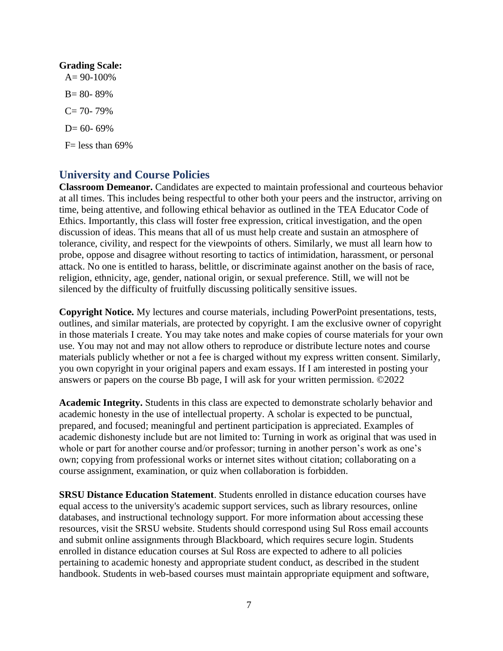# **Grading Scale:**

 $A= 90-100%$  $B = 80 - 89%$  $C = 70 - 79%$  $D= 60- 69%$  $F=$  less than 69%

## **University and Course Policies**

**Classroom Demeanor.** Candidates are expected to maintain professional and courteous behavior at all times. This includes being respectful to other both your peers and the instructor, arriving on time, being attentive, and following ethical behavior as outlined in the TEA Educator Code of Ethics. Importantly, this class will foster free expression, critical investigation, and the open discussion of ideas. This means that all of us must help create and sustain an atmosphere of tolerance, civility, and respect for the viewpoints of others. Similarly, we must all learn how to probe, oppose and disagree without resorting to tactics of intimidation, harassment, or personal attack. No one is entitled to harass, belittle, or discriminate against another on the basis of race, religion, ethnicity, age, gender, national origin, or sexual preference. Still, we will not be silenced by the difficulty of fruitfully discussing politically sensitive issues.

**Copyright Notice.** My lectures and course materials, including PowerPoint presentations, tests, outlines, and similar materials, are protected by copyright. I am the exclusive owner of copyright in those materials I create. You may take notes and make copies of course materials for your own use. You may not and may not allow others to reproduce or distribute lecture notes and course materials publicly whether or not a fee is charged without my express written consent. Similarly, you own copyright in your original papers and exam essays. If I am interested in posting your answers or papers on the course Bb page, I will ask for your written permission. ©2022

**Academic Integrity.** Students in this class are expected to demonstrate scholarly behavior and academic honesty in the use of intellectual property. A scholar is expected to be punctual, prepared, and focused; meaningful and pertinent participation is appreciated. Examples of academic dishonesty include but are not limited to: Turning in work as original that was used in whole or part for another course and/or professor; turning in another person's work as one's own; copying from professional works or internet sites without citation; collaborating on a course assignment, examination, or quiz when collaboration is forbidden.

**SRSU Distance Education Statement**. Students enrolled in distance education courses have equal access to the university's academic support services, such as library resources, online databases, and instructional technology support. For more information about accessing these resources, visit the SRSU website. Students should correspond using Sul Ross email accounts and submit online assignments through Blackboard, which requires secure login. Students enrolled in distance education courses at Sul Ross are expected to adhere to all policies pertaining to academic honesty and appropriate student conduct, as described in the student handbook. Students in web-based courses must maintain appropriate equipment and software,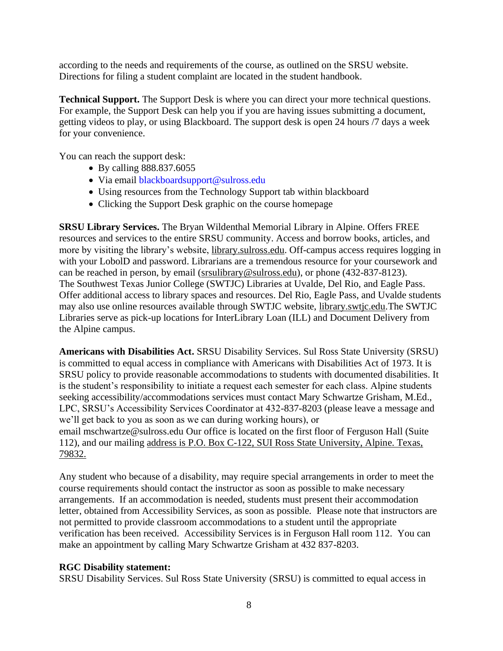according to the needs and requirements of the course, as outlined on the SRSU website. Directions for filing a student complaint are located in the student handbook.

**Technical Support.** The Support Desk is where you can direct your more technical questions. For example, the Support Desk can help you if you are having issues submitting a document, getting videos to play, or using Blackboard. The support desk is open 24 hours /7 days a week for your convenience.

You can reach the support desk:

- By calling 888.837.6055
- Via email blackboardsupport@sulross.edu
- Using resources from the Technology Support tab within blackboard
- Clicking the Support Desk graphic on the course homepage

**SRSU Library Services.** The Bryan Wildenthal Memorial Library in Alpine. Offers FREE resources and services to the entire SRSU community. Access and borrow books, articles, and more by visiting the library's website, [library.sulross.edu.](https://library.sulross.edu/) Off-campus access requires logging in with your LobolD and password. Librarians are a tremendous resource for your coursework and can be reached in person, by email [\(srsulibrary@sulross.edu\)](mailto:srsulibrary@sulross.edu), or phone (432-837-8123). The Southwest Texas Junior College (SWTJC) Libraries at Uvalde, Del Rio, and Eagle Pass. Offer additional access to library spaces and resources. Del Rio, Eagle Pass, and Uvalde students may also use online resources available through SWTJC website, [library.swtjc.edu.](https://library.swtjc.edu/)The SWTJC Libraries serve as pick-up locations for InterLibrary Loan (ILL) and Document Delivery from the Alpine campus.

**Americans with Disabilities Act.** SRSU Disability Services. Sul Ross State University (SRSU) is committed to equal access in compliance with Americans with Disabilities Act of 1973. It is SRSU policy to provide reasonable accommodations to students with documented disabilities. It is the student's responsibility to initiate a request each semester for each class. Alpine students seeking accessibility/accommodations services must contact Mary Schwartze Grisham, M.Ed., LPC, SRSU's Accessibility Services Coordinator at 432-837-8203 (please leave a message and we'll get back to you as soon as we can during working hours), or email [mschwartze@sulross.edu](mailto:mschwartze@sulross.edu) Our office is located on the first floor of Ferguson Hall (Suite 112), and our mailing address is P.O. Box C-122, SUI Ross State University, Alpine. Texas, 79832.

Any student who because of a disability, may require special arrangements in order to meet the course requirements should contact the instructor as soon as possible to make necessary arrangements. If an accommodation is needed, students must present their accommodation letter, obtained from Accessibility Services, as soon as possible. Please note that instructors are not permitted to provide classroom accommodations to a student until the appropriate verification has been received. Accessibility Services is in Ferguson Hall room 112. You can make an appointment by calling Mary Schwartze Grisham at 432 837-8203.

#### **RGC Disability statement:**

SRSU Disability Services. Sul Ross State University (SRSU) is committed to equal access in